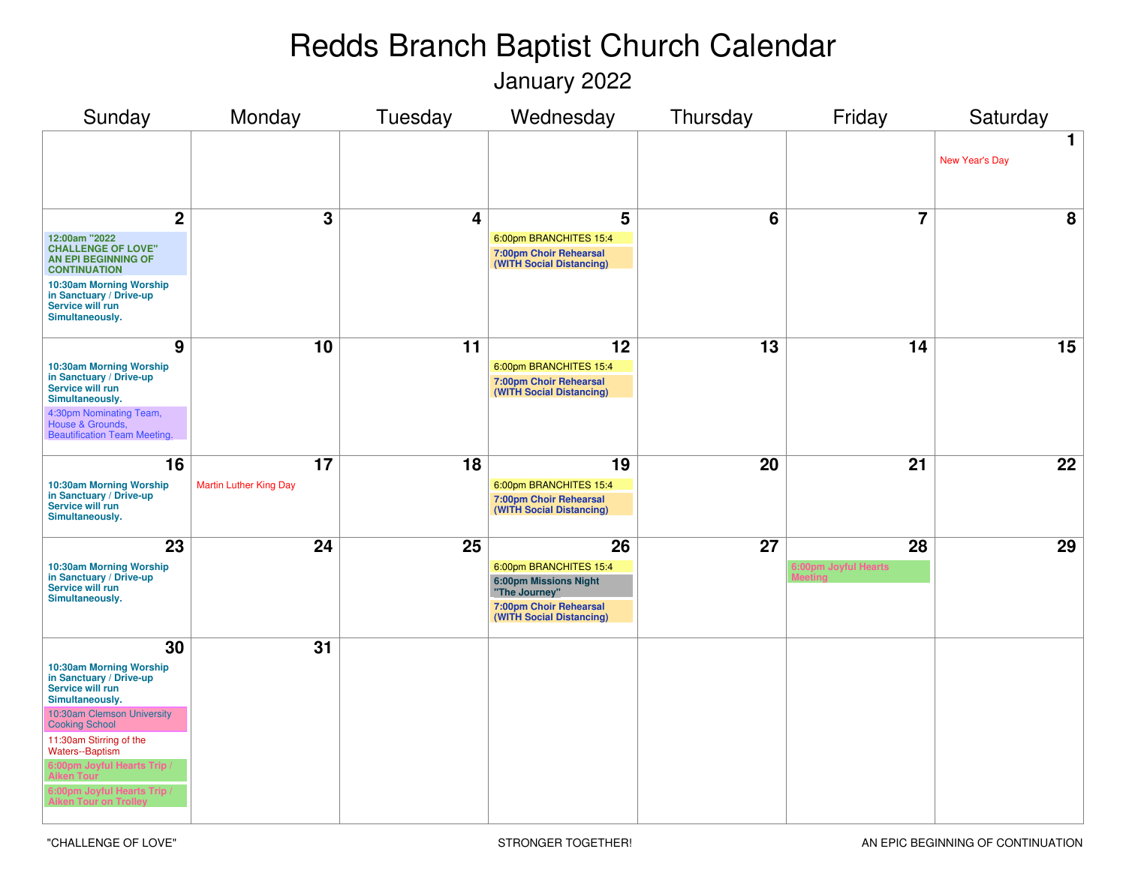January 2022

| Sunday                                                                                    | Monday                        | Tuesday | Wednesday                                                                    | Thursday | Friday               | Saturday                      |
|-------------------------------------------------------------------------------------------|-------------------------------|---------|------------------------------------------------------------------------------|----------|----------------------|-------------------------------|
|                                                                                           |                               |         |                                                                              |          |                      | $\mathbf 1$<br>New Year's Day |
| $\overline{2}$                                                                            | 3                             | 4       | 5                                                                            | 6        | $\overline{7}$       | 8                             |
| 12:00am "2022<br><b>CHALLENGE OF LOVE"</b><br>AN EPI BEGINNING OF<br><b>CONTINUATION</b>  |                               |         | 6:00pm BRANCHITES 15:4<br>7:00pm Choir Rehearsal<br>(WITH Social Distancing) |          |                      |                               |
| 10:30am Morning Worship<br>in Sanctuary / Drive-up<br>Service will run<br>Simultaneously. |                               |         |                                                                              |          |                      |                               |
| 9                                                                                         | 10                            | 11      | 12                                                                           | 13       | 14                   | $\overline{15}$               |
| 10:30am Morning Worship<br>in Sanctuary / Drive-up<br>Service will run<br>Simultaneously. |                               |         | 6:00pm BRANCHITES 15:4<br>7:00pm Choir Rehearsal<br>(WITH Social Distancing) |          |                      |                               |
| 4:30pm Nominating Team,<br>House & Grounds,<br><b>Beautification Team Meeting.</b>        |                               |         |                                                                              |          |                      |                               |
| 16                                                                                        | 17                            | 18      | 19                                                                           | 20       | 21                   | 22                            |
| 10:30am Morning Worship<br>in Sanctuary / Drive-up<br>Service will run<br>Simultaneously. | <b>Martin Luther King Day</b> |         | 6:00pm BRANCHITES 15:4<br>7:00pm Choir Rehearsal<br>(WITH Social Distancing) |          |                      |                               |
| 23                                                                                        | 24                            | 25      | 26                                                                           | 27       | 28                   | 29                            |
| 10:30am Morning Worship<br>in Sanctuary / Drive-up<br>Service will run                    |                               |         | 6:00pm BRANCHITES 15:4<br><b>6:00pm Missions Night</b><br>"The Journey"      |          | 6:00pm Joyful Hearts |                               |
| Simultaneously.                                                                           |                               |         | 7:00pm Choir Rehearsal<br>(WITH Social Distancing)                           |          |                      |                               |
| 30                                                                                        | 31                            |         |                                                                              |          |                      |                               |
| 10:30am Morning Worship<br>in Sanctuary / Drive-up<br>Service will run<br>Simultaneously. |                               |         |                                                                              |          |                      |                               |
| 10:30am Clemson University<br><b>Cooking School</b>                                       |                               |         |                                                                              |          |                      |                               |
| 11:30am Stirring of the<br>Waters--Baptism                                                |                               |         |                                                                              |          |                      |                               |
| 1:00pm Joyful Hearts Trip                                                                 |                               |         |                                                                              |          |                      |                               |
| 6:00pm Joyful Hearts Trip /<br><b>Aiken Tour on Tro</b>                                   |                               |         |                                                                              |          |                      |                               |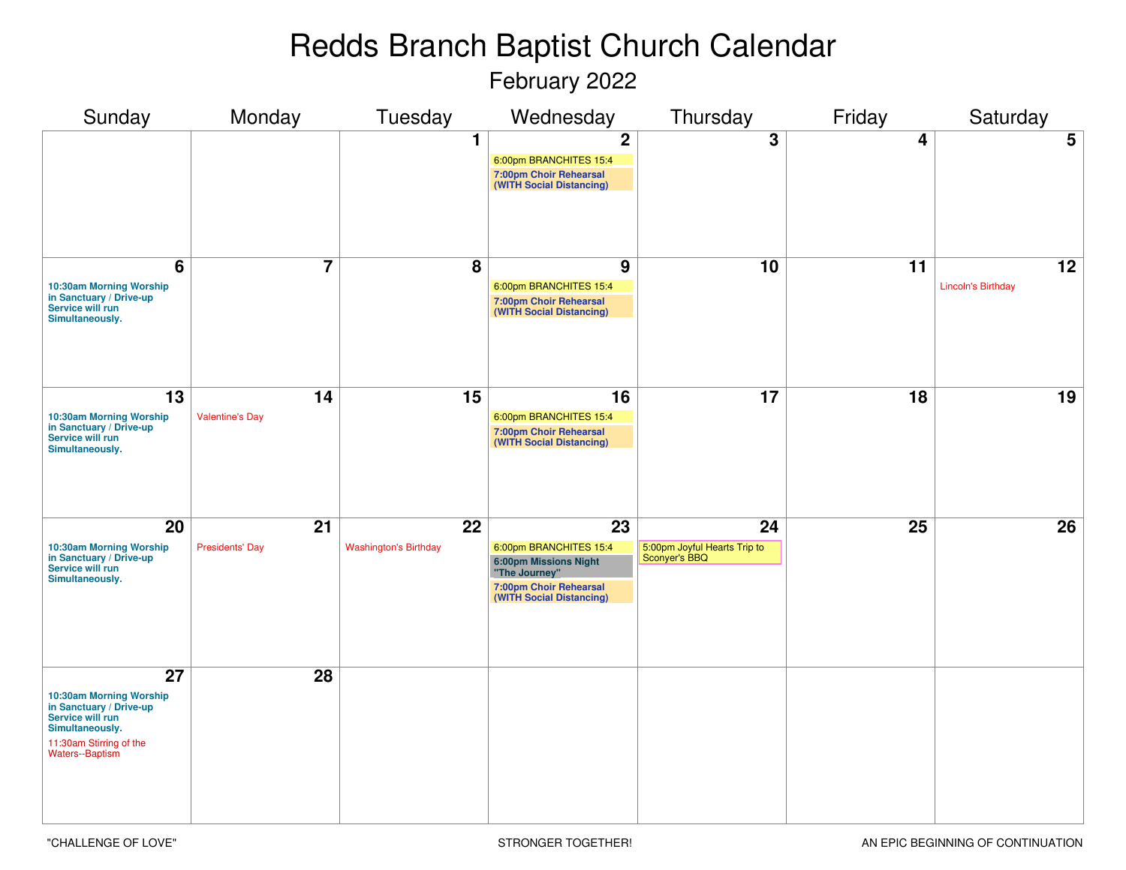February 2022

| Sunday                                                                                                                                        | Monday                       | Tuesday                            | Wednesday                                                                                                                                        | Thursday                                            | Friday | Saturday                        |
|-----------------------------------------------------------------------------------------------------------------------------------------------|------------------------------|------------------------------------|--------------------------------------------------------------------------------------------------------------------------------------------------|-----------------------------------------------------|--------|---------------------------------|
|                                                                                                                                               |                              | $\mathbf 1$                        | $\overline{2}$<br>6:00pm BRANCHITES 15:4<br>7:00pm Choir Rehearsal<br>(WITH Social Distancing)                                                   | $\overline{3}$                                      | 4      | $5\phantom{.0}$                 |
| 6<br>10:30am Morning Worship<br>in Sanctuary / Drive-up<br>Service will run<br>Simultaneously.                                                | $\overline{7}$               | 8                                  | 9<br>6:00pm BRANCHITES 15:4<br>7:00pm Choir Rehearsal<br>(WITH Social Distancing)                                                                | 10                                                  | 11     | 12<br><b>Lincoln's Birthday</b> |
| 13<br>10:30am Morning Worship<br>in Sanctuary / Drive-up<br>Service will run<br>Simultaneously.                                               | 14<br><b>Valentine's Day</b> | 15                                 | 16<br>6:00pm BRANCHITES 15:4<br>7:00pm Choir Rehearsal<br>(WITH Social Distancing)                                                               | 17                                                  | 18     | 19                              |
| 20<br>10:30am Morning Worship<br>in Sanctuary / Drive-up<br>Service will run<br>Simultaneously.                                               | 21<br><b>Presidents' Day</b> | 22<br><b>Washington's Birthday</b> | $\overline{23}$<br>6:00pm BRANCHITES 15:4<br><b>6:00pm Missions Night</b><br>"The Journey"<br>7:00pm Choir Rehearsal<br>(WITH Social Distancing) | 24<br>5:00pm Joyful Hearts Trip to<br>Sconyer's BBQ | 25     | 26                              |
| 27<br>10:30am Morning Worship<br>in Sanctuary / Drive-up<br>Service will run<br>Simultaneously.<br>11:30am Stirring of the<br>Waters--Baptism | 28                           |                                    |                                                                                                                                                  |                                                     |        |                                 |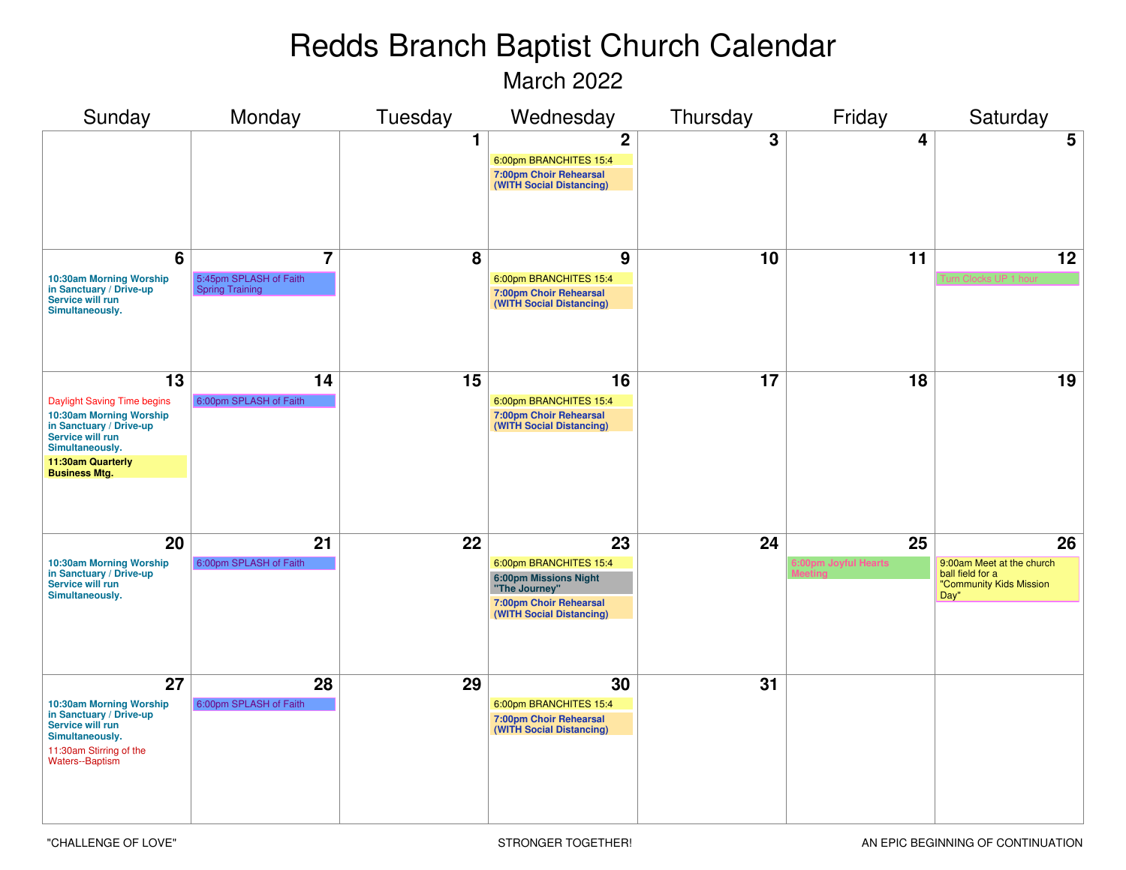March 2022

| Sunday                                                                                                                                                                                   | Monday                                                             | Tuesday | Wednesday                                                                                                                           | Thursday        | Friday                     | Saturday                                                                               |
|------------------------------------------------------------------------------------------------------------------------------------------------------------------------------------------|--------------------------------------------------------------------|---------|-------------------------------------------------------------------------------------------------------------------------------------|-----------------|----------------------------|----------------------------------------------------------------------------------------|
|                                                                                                                                                                                          |                                                                    | 1.      | $\overline{2}$<br>6:00pm BRANCHITES 15:4<br>7:00pm Choir Rehearsal<br>(WITH Social Distancing)                                      | 3               | 4                          | 5                                                                                      |
| 6<br>10:30am Morning Worship<br>in Sanctuary / Drive-up<br>Service will run<br>Simultaneously.                                                                                           | $\overline{7}$<br>5:45pm SPLASH of Faith<br><b>Spring Training</b> | 8       | 9<br>6:00pm BRANCHITES 15:4<br>7:00pm Choir Rehearsal<br>(WITH Social Distancing)                                                   | 10              | 11                         | 12                                                                                     |
| $\overline{13}$<br>Daylight Saving Time begins<br>10:30am Morning Worship<br>in Sanctuary / Drive-up<br>Service will run<br>Simultaneously.<br>11:30am Quarterly<br><b>Business Mtg.</b> | 14<br>6:00pm SPLASH of Faith                                       | 15      | 16<br>6:00pm BRANCHITES 15:4<br>7:00pm Choir Rehearsal<br>(WITH Social Distancing)                                                  | $\overline{17}$ | 18                         | 19                                                                                     |
| 20<br>10:30am Morning Worship<br>in Sanctuary / Drive-up<br>Service will run<br>Simultaneously.                                                                                          | 21<br>6:00pm SPLASH of Faith                                       | 22      | 23<br>6:00pm BRANCHITES 15:4<br><b>6:00pm Missions Night</b><br>"The Journey"<br>7:00pm Choir Rehearsal<br>(WITH Social Distancing) | 24              | 25<br>6:00pm Joyful Hearts | 26<br>9:00am Meet at the church<br>ball field for a<br>"Community Kids Mission<br>Day" |
| 27<br>10:30am Morning Worship<br>in Sanctuary / Drive-up<br>Service will run<br>Simultaneously.<br>11:30am Stirring of the<br><b>Waters--Baptism</b>                                     | 28<br>6:00pm SPLASH of Faith                                       | 29      | 30<br>6:00pm BRANCHITES 15:4<br>7:00pm Choir Rehearsal<br>(WITH Social Distancing)                                                  | 31              |                            |                                                                                        |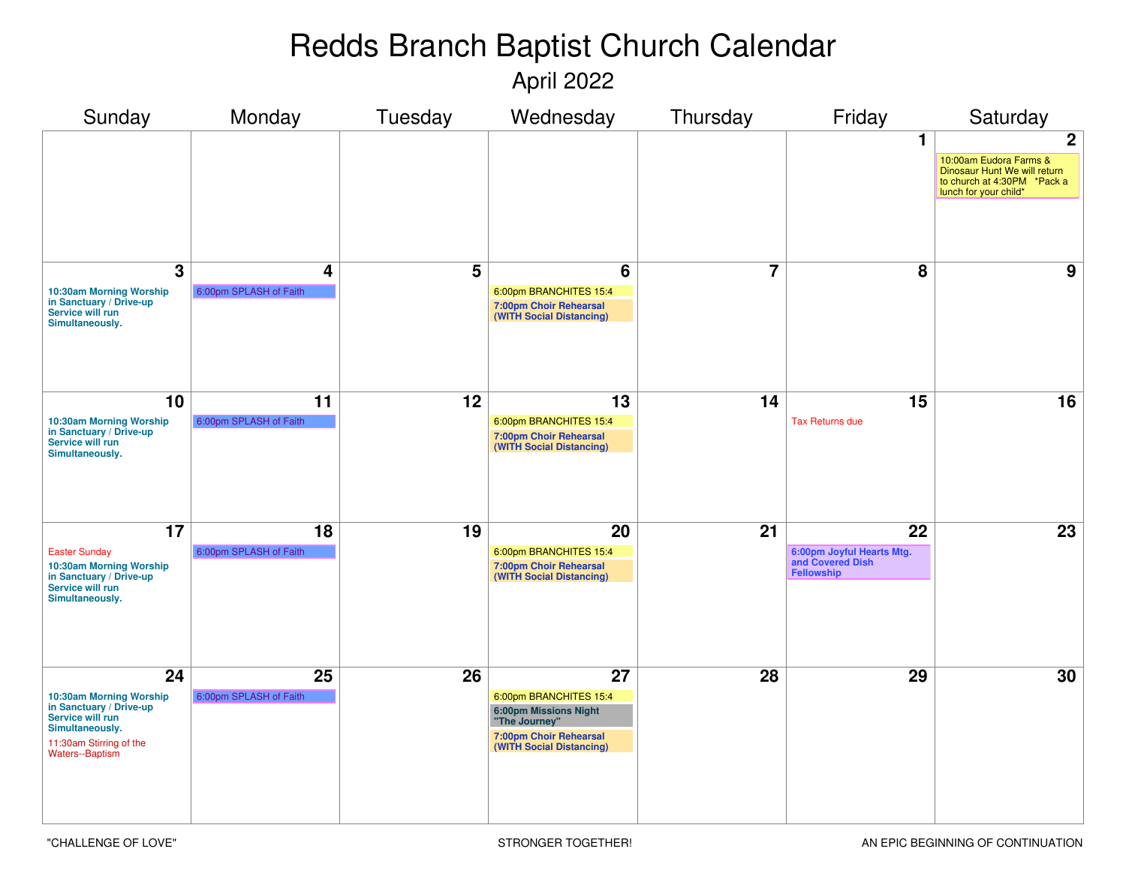April 2022

| Sunday                                                                                                                                                     | Monday                       | Tuesday         | Wednesday                                                                                                                           | Thursday        | Friday                                                                         | Saturday                                                                                                                       |
|------------------------------------------------------------------------------------------------------------------------------------------------------------|------------------------------|-----------------|-------------------------------------------------------------------------------------------------------------------------------------|-----------------|--------------------------------------------------------------------------------|--------------------------------------------------------------------------------------------------------------------------------|
|                                                                                                                                                            |                              |                 |                                                                                                                                     |                 | 1                                                                              | $\mathbf{2}$<br>10:00am Eudora Farms &<br>Dinosaur Hunt We will return<br>to church at 4:30PM *Pack a<br>lunch for your child* |
| $\mathbf{3}$<br>10:30am Morning Worship<br>in Sanctuary / Drive-up<br>Service will run<br>Simultaneously.                                                  | 4<br>6:00pm SPLASH of Faith  | 5               | 6<br>6:00pm BRANCHITES 15:4<br>7:00pm Choir Rehearsal<br>(WITH Social Distancing)                                                   | $\overline{7}$  | 8                                                                              | 9                                                                                                                              |
| 10<br>10:30am Morning Worship<br>in Sanctuary / Drive-up<br>Service will run<br>Simultaneously.                                                            | 11<br>6:00pm SPLASH of Faith | 12              | 13<br>6:00pm BRANCHITES 15:4<br>7:00pm Choir Rehearsal<br>(WITH Social Distancing)                                                  | 14              | 15<br><b>Tax Returns due</b>                                                   | 16                                                                                                                             |
| 17<br><b>Easter Sunday</b><br>10:30am Morning Worship<br>in Sanctuary / Drive-up<br>Service will run<br>Simultaneously.                                    | 18<br>6:00pm SPLASH of Faith | $\overline{19}$ | 20<br>6:00pm BRANCHITES 15:4<br>7:00pm Choir Rehearsal<br>(WITH Social Distancing)                                                  | $\overline{21}$ | $\overline{22}$<br>6:00pm Joyful Hearts Mtg.<br>and Covered Dish<br>Fellowship | $\overline{23}$                                                                                                                |
| $\overline{24}$<br>10:30am Morning Worship<br>in Sanctuary / Drive-up<br>Service will run<br>Simultaneously.<br>11:30am Stirring of the<br>Waters--Baptism | 25<br>6:00pm SPLASH of Faith | 26              | 27<br>6:00pm BRANCHITES 15:4<br><b>6:00pm Missions Night</b><br>"The Journey"<br>7:00pm Choir Rehearsal<br>(WITH Social Distancing) | 28              | 29                                                                             | 30                                                                                                                             |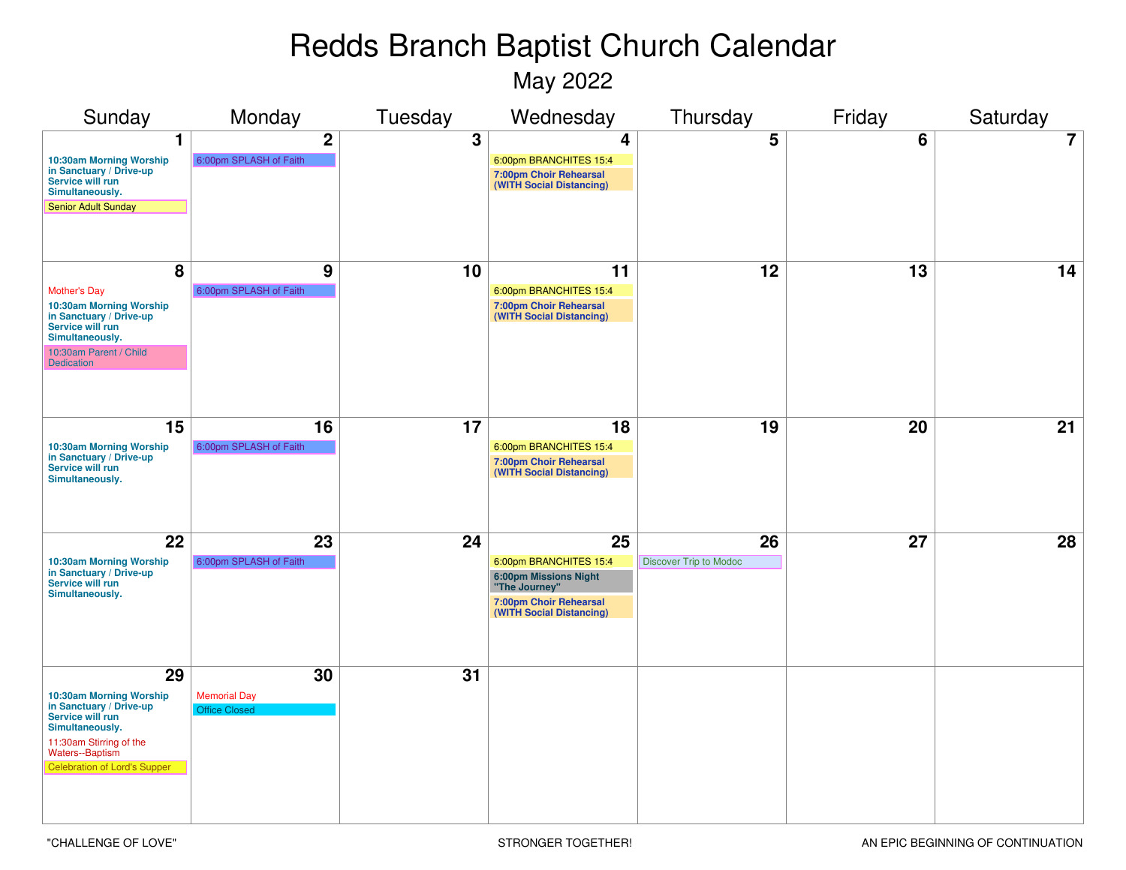May 2022

| Sunday                                                                                                                                                                                      | Monday                                            | Tuesday | Wednesday                                                                                                                           | Thursday                            | Friday | Saturday |
|---------------------------------------------------------------------------------------------------------------------------------------------------------------------------------------------|---------------------------------------------------|---------|-------------------------------------------------------------------------------------------------------------------------------------|-------------------------------------|--------|----------|
| 1<br>10:30am Morning Worship<br>in Sanctuary / Drive-up<br>Service will run<br>Simultaneously.<br><b>Senior Adult Sunday</b>                                                                | $\boldsymbol{2}$<br>6:00pm SPLASH of Faith        | 3       | 4<br>6:00pm BRANCHITES 15:4<br>7:00pm Choir Rehearsal<br>(WITH Social Distancing)                                                   | 5                                   | 6      | 7        |
| 8<br><b>Mother's Day</b><br>10:30am Morning Worship<br>in Sanctuary / Drive-up<br>Service will run<br>Simultaneously.<br>10:30am Parent / Child<br><b>Dedication</b>                        | 9<br>6:00pm SPLASH of Faith                       | 10      | 11<br>6:00pm BRANCHITES 15:4<br>7:00pm Choir Rehearsal<br>(WITH Social Distancing)                                                  | 12                                  | 13     | 14       |
| 15<br>10:30am Morning Worship<br>in Sanctuary / Drive-up<br>Service will run<br>Simultaneously.                                                                                             | 16<br>6:00pm SPLASH of Faith                      | 17      | 18<br>6:00pm BRANCHITES 15:4<br>7:00pm Choir Rehearsal<br>(WITH Social Distancing)                                                  | 19                                  | 20     | 21       |
| 22<br>10:30am Morning Worship<br>in Sanctuary / Drive-up<br>Service will run<br>Simultaneously.                                                                                             | 23<br>6:00pm SPLASH of Faith                      | 24      | 25<br>6:00pm BRANCHITES 15:4<br><b>6:00pm Missions Night</b><br>"The Journey"<br>7:00pm Choir Rehearsal<br>(WITH Social Distancing) | 26<br><b>Discover Trip to Modoc</b> | 27     | 28       |
| 29<br>10:30am Morning Worship<br>in Sanctuary / Drive-up<br>Service will run<br>Simultaneously.<br>11:30am Stirring of the<br><b>Waters--Baptism</b><br><b>Celebration of Lord's Supper</b> | 30<br><b>Memorial Day</b><br><b>Office Closed</b> | 31      |                                                                                                                                     |                                     |        |          |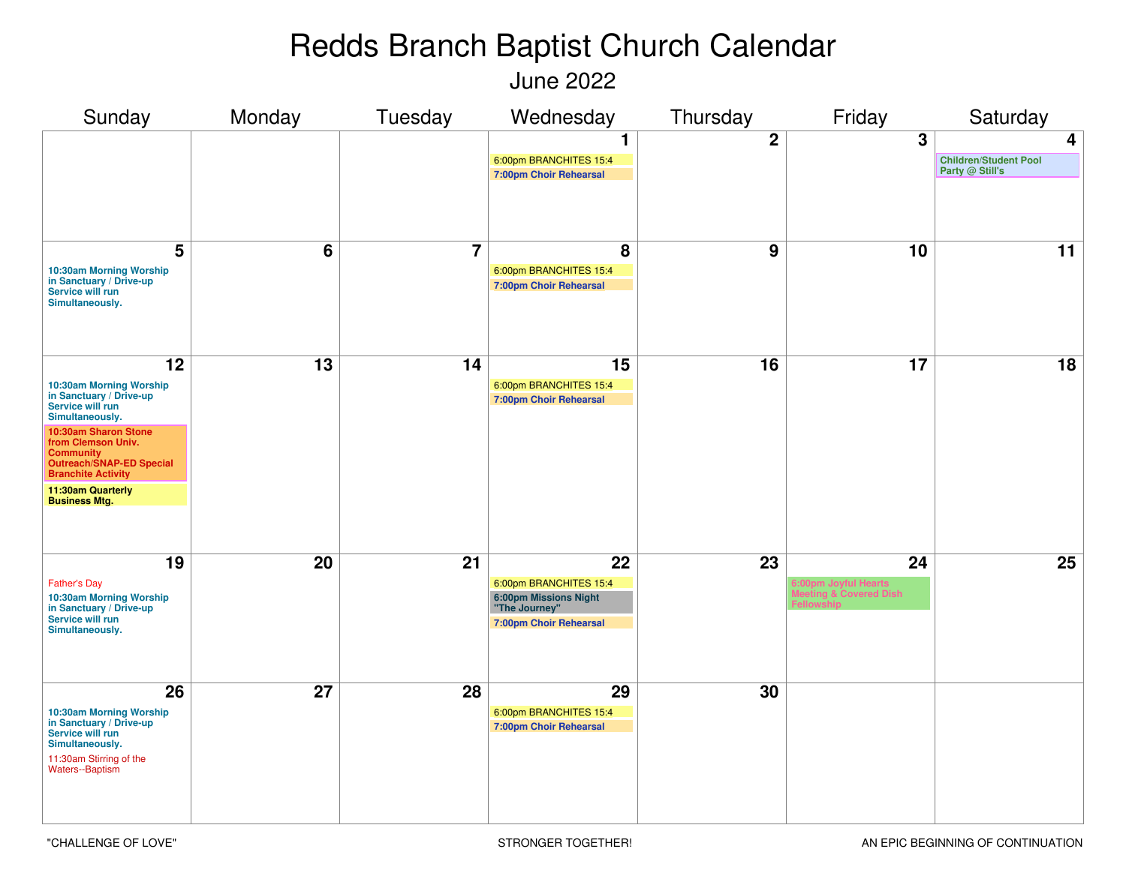June 2022

| Sunday                                                                                                                                                                                                                                                                         | Monday | Tuesday                 | Wednesday                                                                                        | Thursday         | Friday                                               | Saturday                                             |
|--------------------------------------------------------------------------------------------------------------------------------------------------------------------------------------------------------------------------------------------------------------------------------|--------|-------------------------|--------------------------------------------------------------------------------------------------|------------------|------------------------------------------------------|------------------------------------------------------|
|                                                                                                                                                                                                                                                                                |        |                         | 1<br>6:00pm BRANCHITES 15:4<br>7:00pm Choir Rehearsal                                            | $\boldsymbol{2}$ | 3                                                    | 4<br><b>Children/Student Pool</b><br>Party @ Still's |
| 5<br>10:30am Morning Worship<br>in Sanctuary / Drive-up<br>Service will run<br>Simultaneously.                                                                                                                                                                                 | 6      | $\overline{\mathbf{7}}$ | 8<br>6:00pm BRANCHITES 15:4<br><b>7:00pm Choir Rehearsal</b>                                     | 9                | 10                                                   | 11                                                   |
| 12<br>10:30am Morning Worship<br>in Sanctuary / Drive-up<br>Service will run<br>Simultaneously.<br>10:30am Sharon Stone<br>from Clemson Univ.<br><b>Community</b><br><b>Outreach/SNAP-ED Special</b><br><b>Branchite Activity</b><br>11:30am Quarterly<br><b>Business Mtg.</b> | 13     | 14                      | 15<br>6:00pm BRANCHITES 15:4<br><b>7:00pm Choir Rehearsal</b>                                    | 16               | 17                                                   | 18                                                   |
| 19<br><b>Father's Day</b><br>10:30am Morning Worship<br>in Sanctuary / Drive-up<br>Service will run<br>Simultaneously.                                                                                                                                                         | 20     | 21                      | 22<br>6:00pm BRANCHITES 15:4<br>6:00pm Missions Night<br>"The Journey"<br>7:00pm Choir Rehearsal | 23               | 24<br>6:00pm Joyful Hearts<br>leeting & Covered Dish | 25                                                   |
| 26<br>10:30am Morning Worship<br>in Sanctuary / Drive-up<br>Service will run<br>Simultaneously.<br>11:30am Stirring of the<br><b>Waters--Baptism</b>                                                                                                                           | 27     | 28                      | 29<br>6:00pm BRANCHITES 15:4<br><b>7:00pm Choir Rehearsal</b>                                    | 30               |                                                      |                                                      |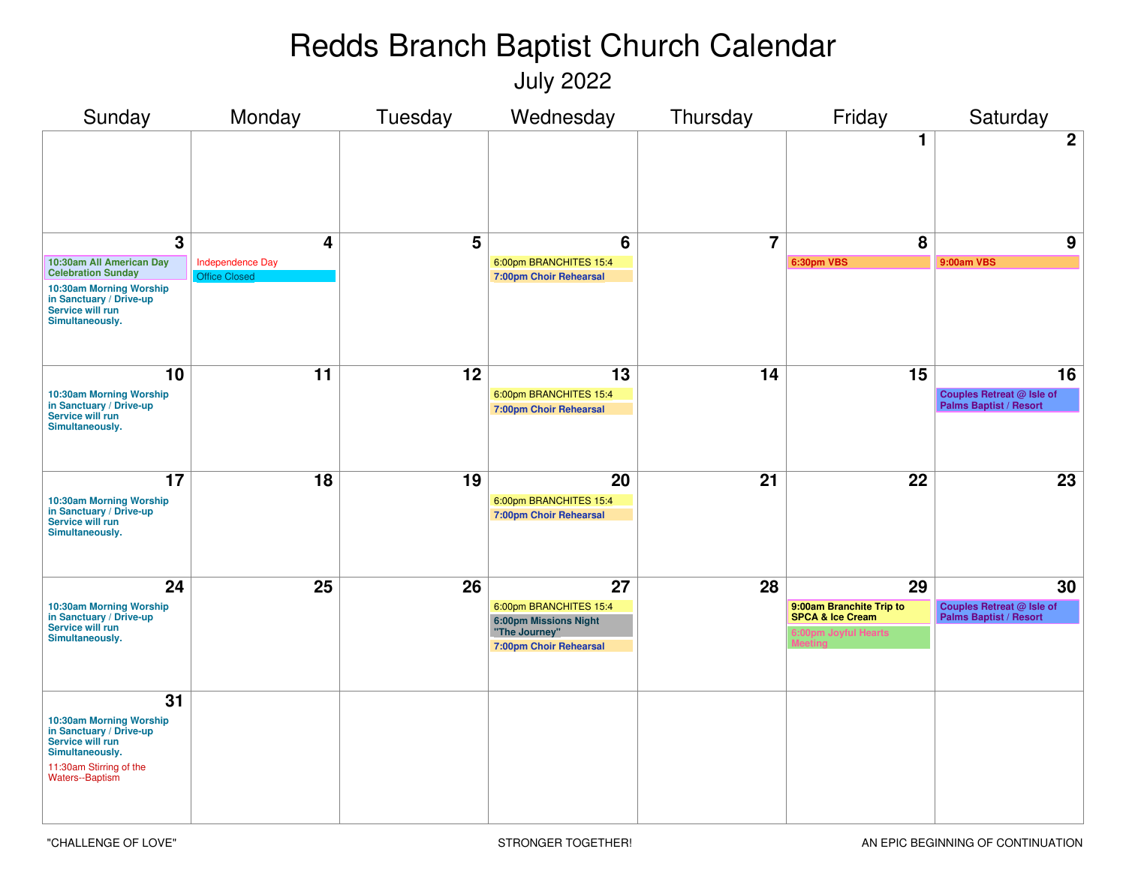July 2022

| Sunday                                                                                                                                  | Monday                                          | Tuesday | Wednesday                                               | Thursday       | Friday                                                  | Saturday                                                          |
|-----------------------------------------------------------------------------------------------------------------------------------------|-------------------------------------------------|---------|---------------------------------------------------------|----------------|---------------------------------------------------------|-------------------------------------------------------------------|
|                                                                                                                                         |                                                 |         |                                                         |                | 1                                                       | $\mathbf{2}$                                                      |
| $\overline{3}$                                                                                                                          | 4                                               | 5       | 6                                                       | $\overline{7}$ | 8                                                       | 9                                                                 |
| 10:30am All American Day<br><b>Celebration Sunday</b>                                                                                   | <b>Independence Day</b><br><b>Office Closed</b> |         | 6:00pm BRANCHITES 15:4<br><b>7:00pm Choir Rehearsal</b> |                | 6:30pm VBS                                              | 9:00am VBS                                                        |
| 10:30am Morning Worship<br>in Sanctuary / Drive-up<br>Service will run<br>Simultaneously.                                               |                                                 |         |                                                         |                |                                                         |                                                                   |
| 10                                                                                                                                      | 11                                              | 12      | 13                                                      | 14             | 15                                                      | 16                                                                |
| 10:30am Morning Worship<br>in Sanctuary / Drive-up<br>Service will run<br>Simultaneously.                                               |                                                 |         | 6:00pm BRANCHITES 15:4<br><b>7:00pm Choir Rehearsal</b> |                |                                                         | <b>Couples Retreat @ Isle of</b><br><b>Palms Baptist / Resort</b> |
| 17                                                                                                                                      | 18                                              | 19      | 20                                                      | 21             | 22                                                      | 23                                                                |
| 10:30am Morning Worship<br>in Sanctuary / Drive-up<br>Service will run<br>Simultaneously.                                               |                                                 |         | 6:00pm BRANCHITES 15:4<br><b>7:00pm Choir Rehearsal</b> |                |                                                         |                                                                   |
| 24                                                                                                                                      | 25                                              | 26      | 27                                                      | 28             | 29                                                      | 30                                                                |
| 10:30am Morning Worship<br>in Sanctuary / Drive-up                                                                                      |                                                 |         | 6:00pm BRANCHITES 15:4<br><b>6:00pm Missions Night</b>  |                | 9:00am Branchite Trip to<br><b>SPCA &amp; Ice Cream</b> | <b>Couples Retreat @ Isle of<br/>Palms Baptist / Resort</b>       |
| Service will run<br>Simultaneously.                                                                                                     |                                                 |         | "The Journey"<br>7:00pm Choir Rehearsal                 |                | 6:00pm Joyful Hearts                                    |                                                                   |
| 31                                                                                                                                      |                                                 |         |                                                         |                |                                                         |                                                                   |
| 10:30am Morning Worship<br>in Sanctuary / Drive-up<br>Service will run<br>Simultaneously.<br>11:30am Stirring of the<br>Waters--Baptism |                                                 |         |                                                         |                |                                                         |                                                                   |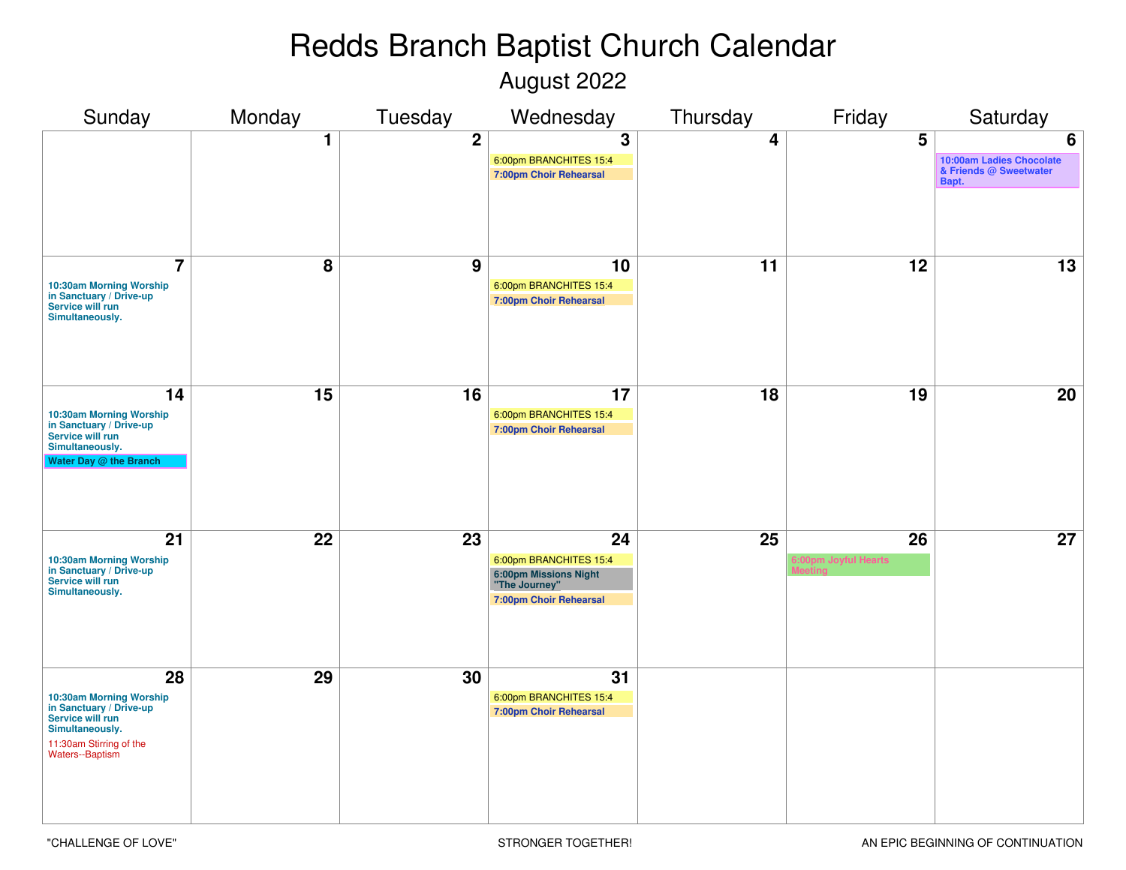August 2022

| Sunday                                                                                                                                        | Monday | Tuesday        | Wednesday                                                                                        | Thursday                | Friday                     | Saturday                                                         |
|-----------------------------------------------------------------------------------------------------------------------------------------------|--------|----------------|--------------------------------------------------------------------------------------------------|-------------------------|----------------------------|------------------------------------------------------------------|
|                                                                                                                                               | 1      | $\overline{2}$ | 3<br>6:00pm BRANCHITES 15:4<br>7:00pm Choir Rehearsal                                            | $\overline{\mathbf{4}}$ | 5                          | 6<br>10:00am Ladies Chocolate<br>& Friends @ Sweetwater<br>Bapt. |
| $\overline{7}$<br>10:30am Morning Worship<br>in Sanctuary / Drive-up<br>Service will run<br>Simultaneously.                                   | 8      | 9              | 10<br>6:00pm BRANCHITES 15:4<br>7:00pm Choir Rehearsal                                           | 11                      | 12                         | 13                                                               |
| 14<br>10:30am Morning Worship<br>in Sanctuary / Drive-up<br>Service will run<br>Simultaneously.<br>Water Day @ the Branch                     | 15     | 16             | 17<br>6:00pm BRANCHITES 15:4<br>7:00pm Choir Rehearsal                                           | 18                      | 19                         | 20                                                               |
| 21<br>10:30am Morning Worship<br>in Sanctuary / Drive-up<br>Service will run<br>Simultaneously.                                               | 22     | 23             | 24<br>6:00pm BRANCHITES 15:4<br>6:00pm Missions Night<br>"The Journey"<br>7:00pm Choir Rehearsal | 25                      | 26<br>6:00pm Joyful Hearts | 27                                                               |
| 28<br>10:30am Morning Worship<br>in Sanctuary / Drive-up<br>Service will run<br>Simultaneously.<br>11:30am Stirring of the<br>Waters--Baptism | 29     | 30             | 31<br>6:00pm BRANCHITES 15:4<br>7:00pm Choir Rehearsal                                           |                         |                            |                                                                  |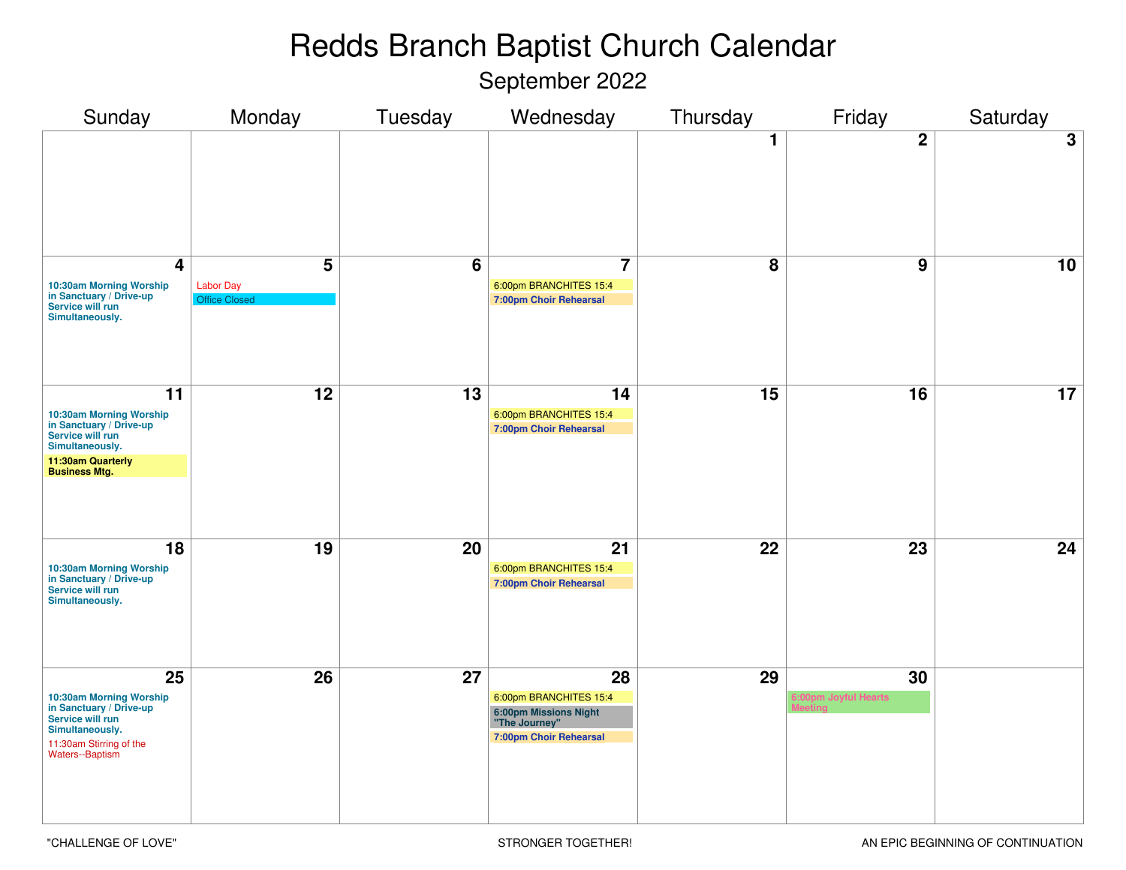September 2022

| Sunday                                                                                                                                                     | Monday                                        | Tuesday         | Wednesday                                                                                        | Thursday        | Friday                     | Saturday        |
|------------------------------------------------------------------------------------------------------------------------------------------------------------|-----------------------------------------------|-----------------|--------------------------------------------------------------------------------------------------|-----------------|----------------------------|-----------------|
|                                                                                                                                                            |                                               |                 |                                                                                                  | 1               | $\overline{2}$             | 3               |
| $\overline{\mathbf{4}}$<br>10:30am Morning Worship<br>in Sanctuary / Drive-up<br>Service will run<br>Simultaneously.                                       | 5<br><b>Labor Day</b><br><b>Office Closed</b> | $6\overline{6}$ | $\overline{7}$<br>6:00pm BRANCHITES 15:4<br>7:00pm Choir Rehearsal                               | $\overline{8}$  | 9                          | 10              |
| $\overline{11}$<br>10:30am Morning Worship<br>in Sanctuary / Drive-up<br>Service will run<br>Simultaneously.<br>11:30am Quarterly<br><b>Business Mtg.</b>  | $\overline{12}$                               | $\overline{13}$ | 14<br>6:00pm BRANCHITES 15:4<br>7:00pm Choir Rehearsal                                           | $\overline{15}$ | $\overline{16}$            | $\overline{17}$ |
| $\overline{18}$<br>10:30am Morning Worship<br>in Sanctuary / Drive-up<br>Service will run<br>Simultaneously.                                               | $\overline{19}$                               | $\overline{20}$ | 21<br>6:00pm BRANCHITES 15:4<br>7:00pm Choir Rehearsal                                           | $\overline{22}$ | $\overline{23}$            | 24              |
| $\overline{25}$<br>10:30am Morning Worship<br>in Sanctuary / Drive-up<br>Service will run<br>Simultaneously.<br>11:30am Stirring of the<br>Waters--Baptism | $\overline{26}$                               | $\overline{27}$ | 28<br>6:00pm BRANCHITES 15:4<br>6:00pm Missions Night<br>"The Journey"<br>7:00pm Choir Rehearsal | $\overline{29}$ | 30<br>6:00pm Joyful Hearts |                 |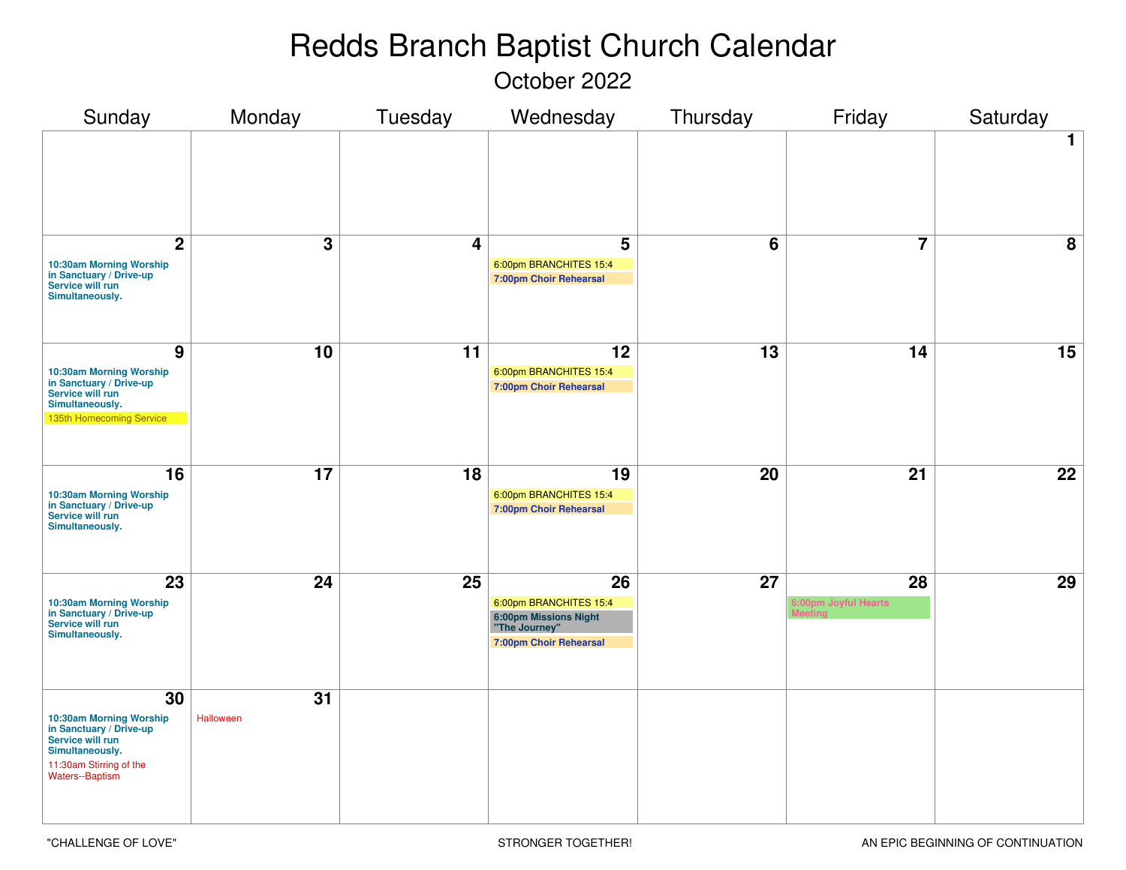October 2022

| Sunday                                                                                                                                        | Monday          | Tuesday         | Wednesday                                                                                               | Thursday        | Friday                     | Saturday        |
|-----------------------------------------------------------------------------------------------------------------------------------------------|-----------------|-----------------|---------------------------------------------------------------------------------------------------------|-----------------|----------------------------|-----------------|
|                                                                                                                                               |                 |                 |                                                                                                         |                 |                            | $\mathbf 1$     |
| $\overline{2}$<br>10:30am Morning Worship<br>in Sanctuary / Drive-up<br>Service will run<br>Simultaneously.                                   | $\mathbf 3$     | 4               | 5<br>6:00pm BRANCHITES 15:4<br>7:00pm Choir Rehearsal                                                   | $6\phantom{1}$  | $\overline{7}$             | 8               |
| $\overline{9}$<br>10:30am Morning Worship<br>in Sanctuary / Drive-up<br>Service will run<br>Simultaneously.<br>135th Homecoming Service       | 10              | $\overline{11}$ | 12<br>6:00pm BRANCHITES 15:4<br>7:00pm Choir Rehearsal                                                  | $\overline{13}$ | $\overline{14}$            | $\overline{15}$ |
| 16<br>10:30am Morning Worship<br>in Sanctuary / Drive-up<br>Service will run<br>Simultaneously.                                               | $\overline{17}$ | $\overline{18}$ | 19<br>6:00pm BRANCHITES 15:4<br><b>7:00pm Choir Rehearsal</b>                                           | 20              | $\overline{21}$            | $\overline{22}$ |
| 23<br>10:30am Morning Worship<br>in Sanctuary / Drive-up<br>Service will run<br>Simultaneously.                                               | 24              | 25              | 26<br>6:00pm BRANCHITES 15:4<br><b>6:00pm Missions Night</b><br>"The Journey"<br>7:00pm Choir Rehearsal | $\overline{27}$ | 28<br>6:00pm Joyful Hearts | 29              |
| 30<br>10:30am Morning Worship<br>in Sanctuary / Drive-up<br>Service will run<br>Simultaneously.<br>11:30am Stirring of the<br>Waters--Baptism | 31<br>Halloween |                 |                                                                                                         |                 |                            |                 |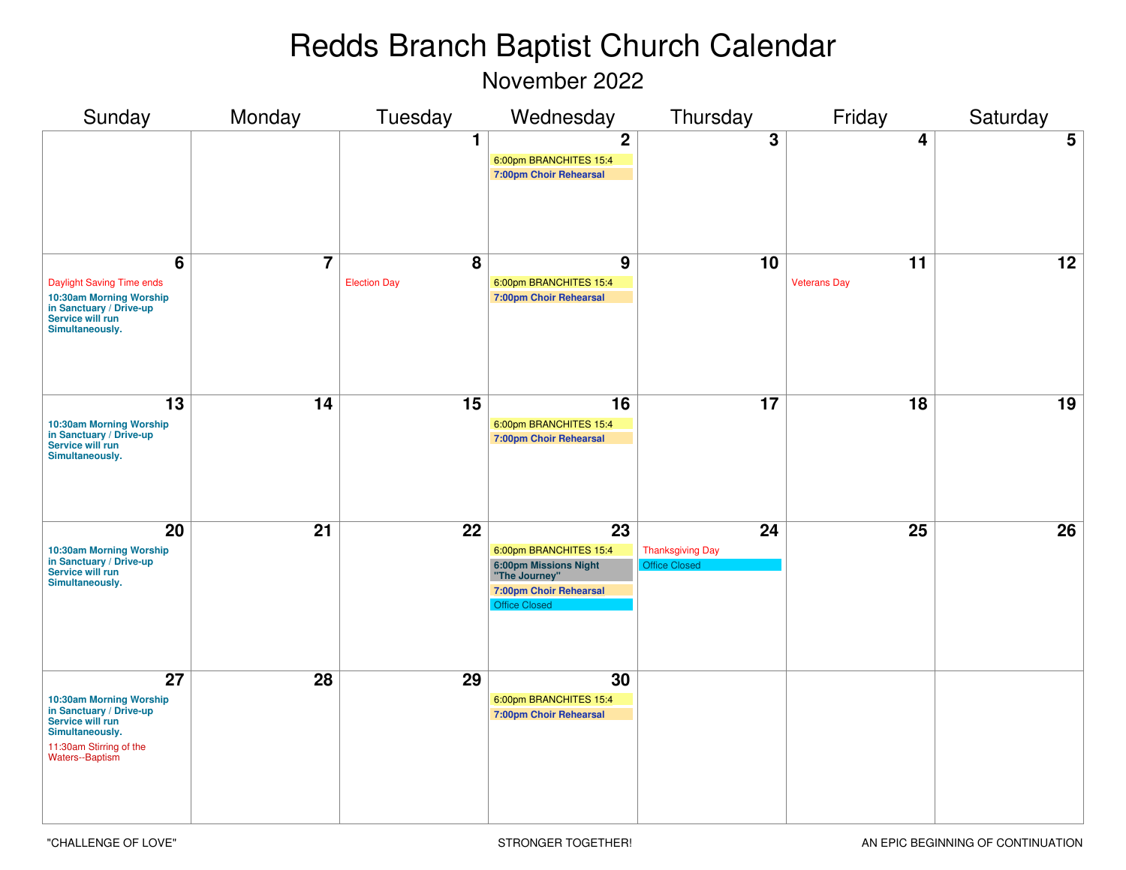November 2022

| Sunday                                                                                                                                               | Monday          | Tuesday                  | Wednesday                                                                                                                | Thursday                                              | Friday                    | Saturday        |
|------------------------------------------------------------------------------------------------------------------------------------------------------|-----------------|--------------------------|--------------------------------------------------------------------------------------------------------------------------|-------------------------------------------------------|---------------------------|-----------------|
|                                                                                                                                                      |                 | 1                        | $\boldsymbol{2}$<br>6:00pm BRANCHITES 15:4<br>7:00pm Choir Rehearsal                                                     | 3                                                     | 4                         | 5               |
| 6<br>Daylight Saving Time ends<br>10:30am Morning Worship<br>in Sanctuary / Drive-up<br>Service will run<br>Simultaneously.                          | $\overline{7}$  | 8<br><b>Election Day</b> | 9<br>6:00pm BRANCHITES 15:4<br>7:00pm Choir Rehearsal                                                                    | 10                                                    | 11<br><b>Veterans Day</b> | 12              |
| 13<br>10:30am Morning Worship<br>in Sanctuary / Drive-up<br>Service will run<br>Simultaneously.                                                      | 14              | 15                       | 16<br>6:00pm BRANCHITES 15:4<br>7:00pm Choir Rehearsal                                                                   | 17                                                    | $\overline{18}$           | 19              |
| 20<br>10:30am Morning Worship<br>in Sanctuary / Drive-up<br>Service will run<br>Simultaneously.                                                      | $\overline{21}$ | $\overline{22}$          | 23<br>6:00pm BRANCHITES 15:4<br>6:00pm Missions Night<br>"The Journey"<br>7:00pm Choir Rehearsal<br><b>Office Closed</b> | 24<br><b>Thanksgiving Day</b><br><b>Office Closed</b> | 25                        | $\overline{26}$ |
| 27<br>10:30am Morning Worship<br>in Sanctuary / Drive-up<br>Service will run<br>Simultaneously.<br>11:30am Stirring of the<br><b>Waters--Baptism</b> | 28              | 29                       | 30<br>6:00pm BRANCHITES 15:4<br>7:00pm Choir Rehearsal                                                                   |                                                       |                           |                 |